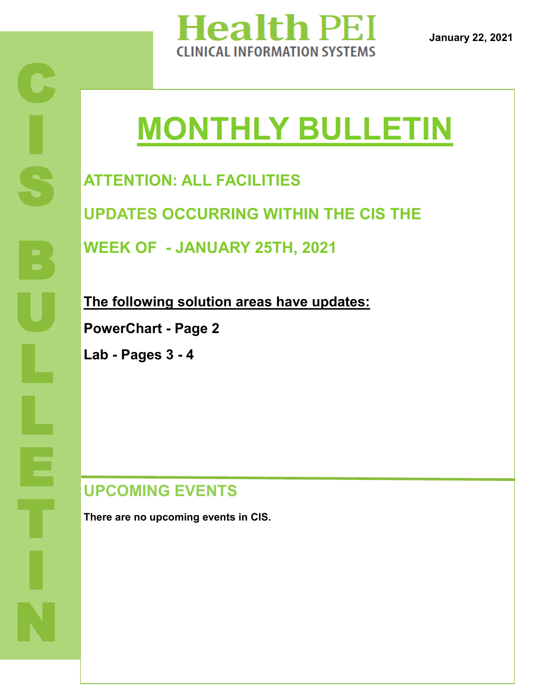

**January 22, 2021**

# **MONTHLY BULLETIN**

**ATTENTION: ALL FACILITIES**

**UPDATES OCCURRING WITHIN THE CIS THE** 

**WEEK OF - JANUARY 25TH, 2021**

**The following solution areas have updates: PowerChart - Page 2**

**Lab - Pages 3 - 4**

### **UPCOMING EVENTS**

**There are no upcoming events in CIS.**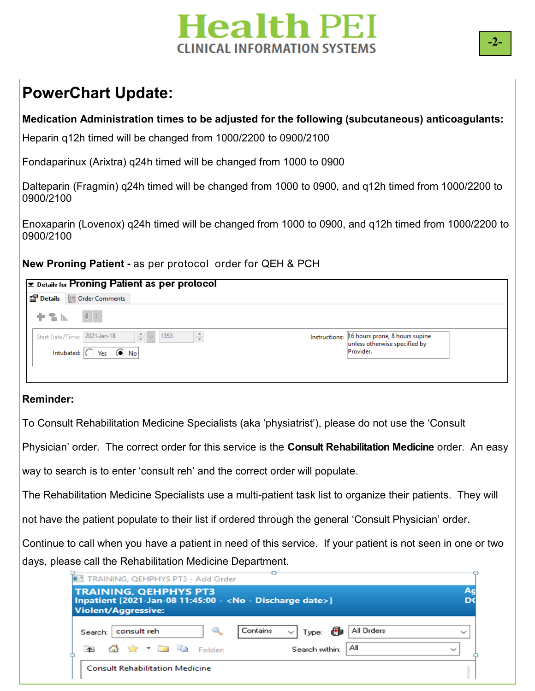# **Health PEI** CLINICAL INFORMATION SYSTEMS

### **PowerChart Update:**

### **Medication Administration times to be adjusted for the following (subcutaneous) anticoagulants:**

Heparin q12h timed will be changed from 1000/2200 to 0900/2100

Fondaparinux (Arixtra) q24h timed will be changed from 1000 to 0900

Dalteparin (Fragmin) q24h timed will be changed from 1000 to 0900, and q12h timed from 1000/2200 to 0900/2100

Enoxaparin (Lovenox) q24h timed will be changed from 1000 to 0900, and q12h timed from 1000/2200 to 0900/2100

**New Proning Patient -** as per protocol order for QEH & PCH

| <b>Ex Details for Proning Patient as per protocol</b><br>Details III Order Comments |                                                                                            |
|-------------------------------------------------------------------------------------|--------------------------------------------------------------------------------------------|
| $+ 2 h.$ $ V $ $\vee$                                                               |                                                                                            |
| $\frac{4}{7}$ ~ 1353<br>Start Date/Time: 2021-Jan-18<br>÷                           | Instructions: 16 hours prone, 8 hours supine<br>unless otherwise specified by<br>Provider. |
| Intubated: $\bigcap$<br>Yes $\odot$ No                                              |                                                                                            |

#### **Reminder:**

To Consult Rehabilitation Medicine Specialists (aka 'physiatrist'), please do not use the 'Consult

Physician' order. The correct order for this service is the **Consult Rehabilitation Medicine** order. An easy

way to search is to enter 'consult reh' and the correct order will populate.

The Rehabilitation Medicine Specialists use a multi-patient task list to organize their patients. They will

not have the patient populate to their list if ordered through the general 'Consult Physician' order.

Continue to call when you have a patient in need of this service. If your patient is not seen in one or two days, please call the Rehabilitation Medicine Department.

| <b>TRAINING, QEHPHYS PT3</b><br>Inpatient [2021-Jan-08 11:45:00 - <no -="" date="" discharge="">]</no> |                                                           |                                      |            | A <sub>g</sub><br>D |
|--------------------------------------------------------------------------------------------------------|-----------------------------------------------------------|--------------------------------------|------------|---------------------|
| <b>Violent/Aggressive:</b>                                                                             |                                                           |                                      |            |                     |
| consult reh<br>Search:                                                                                 |                                                           | Contains<br>Type: 65<br>$\checkmark$ | All Orders | $\checkmark$        |
|                                                                                                        | $\bigoplus$ $\bigotimes$ $\bigotimes$ $\bigoplus$ Folder: | Search within:                       | Αll        | $\checkmark$        |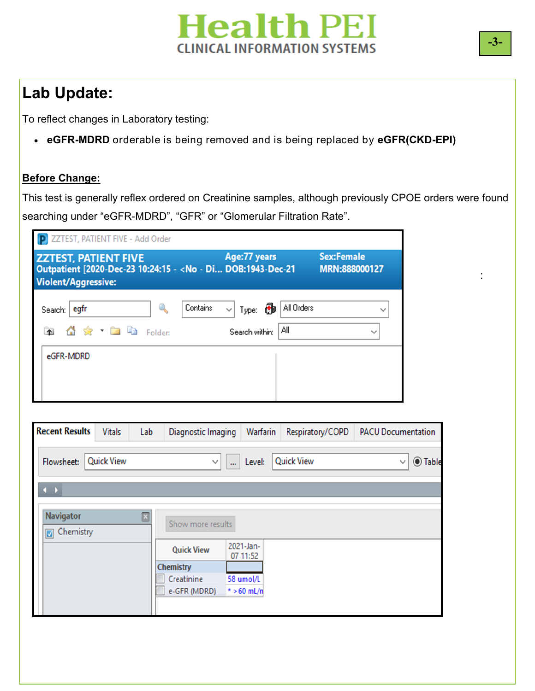# **Health PEI CLINICAL INFORMATION SYSTEMS**

# **Lab Update:**

To reflect changes in Laboratory testing:

**eGFR-MDRD** orderable is being removed and is being replaced by **eGFR(CKD-EPI)**

### **Before Change:**

This test is generally reflex ordered on Creatinine samples, although previously CPOE orders were found searching under "eGFR-MDRD", "GFR" or "Glomerular Filtration Rate".

| <b>P ZZTEST, PATIENT FIVE - Add Order</b>                                                                                 |                                                                 |                                            |
|---------------------------------------------------------------------------------------------------------------------------|-----------------------------------------------------------------|--------------------------------------------|
| <b>ZZTEST, PATIENT FIVE</b><br>Outpatient [2020-Dec-23 10:24:15 - < No - Di DOB:1943-Dec-21<br><b>Violent/Aggressive:</b> | Age: 77 years                                                   | <b>Sex:Female</b><br>MRN:888000127         |
| egfr<br>Search:<br>$\bigcirc$ $\bigcirc$ $\bigcirc$ $\bigcirc$ $\bigcirc$ Folder:                                         | Contains<br>ð<br>$\checkmark$<br>Type:<br>Αll<br>Search within: | All Orders<br>$\checkmark$<br>$\checkmark$ |
| eGFR-MDRD                                                                                                                 |                                                                 |                                            |

| <b>Recent Results</b>                                    | <b>Vitals</b>     | Lab | Diagnostic Imaging | Warfarin              | Respiratory/COPD  | <b>PACU Documentation</b>      |
|----------------------------------------------------------|-------------------|-----|--------------------|-----------------------|-------------------|--------------------------------|
| Flowsheet:                                               | <b>Quick View</b> |     | $\checkmark$       | Level:<br>$\cdots$    | <b>Quick View</b> | <b>◎ Table</b><br>$\checkmark$ |
| $\leftarrow$                                             |                   |     |                    |                       |                   |                                |
| <b>Navigator</b><br>Chemistry<br>$\overline{\mathbf{v}}$ |                   | ⊡   | Show more results  |                       |                   |                                |
|                                                          |                   |     | <b>Quick View</b>  | 2021-Jan-<br>07 11:52 |                   |                                |
|                                                          |                   |     | Chemistry          |                       |                   |                                |
|                                                          |                   |     | Creatinine         | 58 umol/L             |                   |                                |
|                                                          |                   |     | e-GFR (MDRD)       | $* > 60$ mL/n         |                   |                                |
|                                                          |                   |     |                    |                       |                   |                                |

: